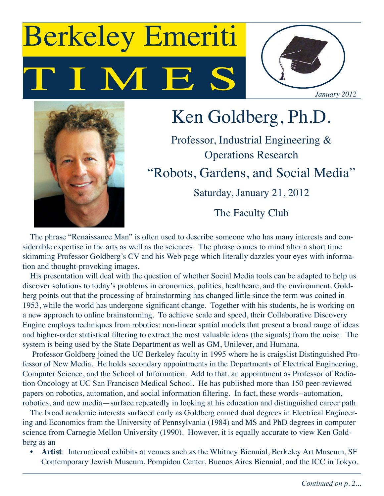# I M E Berkeley Emeriti





## Ken Goldberg, Ph.D.

Professor, Industrial Engineering & Operations Research "Robots, Gardens, and Social Media" Saturday, January 21, 2012

The Faculty Club

The phrase "Renaissance Man" is often used to describe someone who has many interests and considerable expertise in the arts as well as the sciences. The phrase comes to mind after a short time skimming Professor Goldberg's CV and his Web page which literally dazzles your eyes with information and thought-provoking images.

His presentation will deal with the question of whether Social Media tools can be adapted to help us discover solutions to today's problems in economics, politics, healthcare, and the environment. Goldberg points out that the processing of brainstorming has changed little since the term was coined in 1953, while the world has undergone significant change. Together with his students, he is working on a new approach to online brainstorming. To achieve scale and speed, their Collaborative Discovery Engine employs techniques from robotics: non-linear spatial models that present a broad range of ideas and higher-order statistical filtering to extract the most valuable ideas (the signals) from the noise. The system is being used by the State Department as well as GM, Unilever, and Humana.

 Professor Goldberg joined the UC Berkeley faculty in 1995 where he is craigslist Distinguished Professor of New Media. He holds secondary appointments in the Departments of Electrical Engineering, Computer Science, and the School of Information. Add to that, an appointment as Professor of Radiation Oncology at UC San Francisco Medical School. He has published more than 150 peer-reviewed papers on robotics, automation, and social information filtering. In fact, these words--automation, robotics, and new media—surface repeatedly in looking at his education and distinguished career path.

The broad academic interests surfaced early as Goldberg earned dual degrees in Electrical Engineering and Economics from the University of Pennsylvania (1984) and MS and PhD degrees in computer science from Carnegie Mellon University (1990). However, it is equally accurate to view Ken Goldberg as an

Artist: International exhibits at venues such as the Whitney Biennial, Berkeley Art Museum, SF Contemporary Jewish Museum, Pompidou Center, Buenos Aires Biennial, and the ICC in Tokyo.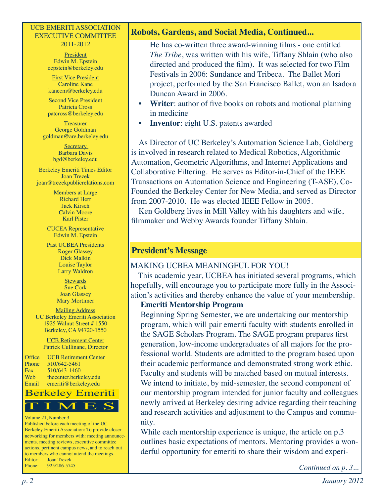#### UCB EMERITI ASSOCIATION EXECUTIVE COMMITTEE 2011-2012

#### **President** Edwin M. Epstein eepstein@berkeley.edu

First Vice President Caroline Kane kanecm@berkeley.edu

Second Vice President Patricia Cross patcross@berkeley.edu

**Treasurer** George Goldman goldman@are.berkeley.edu

> **Secretary** Barbara Davis bgd@berkeley.edu

Berkeley Emeriti Times Editor Joan Trezek joan@trezekpublicrelations.com

> Members at Large Richard Herr Jack Kirsch Calvin Moore Karl Pister

CUCEA Representative Edwin M. Epstein

Past UCBEA Presidents Roger Glassey Dick Malkin Louise Taylor Larry Waldron

> **Stewards** Sue Cork Joan Glassey Mary Mortimer

Mailing Address UC Berkeley Emeriti Association 1925 Walnut Street # 1550 Berkeley, CA 94720-1550

> UCB Retirement Center Patrick Cullinane, Director

Office UCB Retirement Center Phone 510/642-5461 Fax 510/643-1460 Web thecenter.berkeley.edu Email emeriti@berkeley.edu



#### Volume 21, Number 3

Published before each meeting of the UC Berkeley Emeriti Association: To provide closer networking for members with: meeting announcements, meeting reviews, executive committee actions, pertinent campus news, and to reach out to members who cannot attend the meetings. Editor: Joan Trezek Phone: 925/286-5745

#### **Robots, Gardens, and Social Media, Continued...**

He has co-written three award-winning films - one entitled *The Tribe*, was written with his wife, Tiffany Shlain (who also directed and produced the film). It was selected for two Film Festivals in 2006: Sundance and Tribeca. The Ballet Mori project, performed by the San Francisco Ballet, won an Isadora Duncan Award in 2006.

- **Writer:** author of five books on robots and motional planning in medicine
- **Inventor**: eight U.S. patents awarded

As Director of UC Berkeley's Automation Science Lab, Goldberg is involved in research related to Medical Robotics, Algorithmic Automation, Geometric Algorithms, and Internet Applications and Collaborative Filtering. He serves as Editor-in-Chief of the IEEE Transactions on Automation Science and Engineering (T-ASE), Co-Founded the Berkeley Center for New Media, and served as Director from 2007-2010. He was elected IEEE Fellow in 2005.

Ken Goldberg lives in Mill Valley with his daughters and wife, filmmaker and Webby Awards founder Tiffany Shlain.

#### **President's Message**

#### MAKING UCBEA MEANINGFUL FOR YOU!

This academic year, UCBEA has initiated several programs, which hopefully, will encourage you to participate more fully in the Association's activities and thereby enhance the value of your membership.

#### **Emeriti Mentorship Program**

Beginning Spring Semester, we are undertaking our mentorship program, which will pair emeriti faculty with students enrolled in the SAGE Scholars Program. The SAGE program prepares first generation, low-income undergraduates of all majors for the professional world. Students are admitted to the program based upon their academic performance and demonstrated strong work ethic. Faculty and students will be matched based on mutual interests. We intend to initiate, by mid-semester, the second component of our mentorship program intended for junior faculty and colleagues newly arrived at Berkeley desiring advice regarding their teaching and research activities and adjustment to the Campus and community.

While each mentorship experience is unique, the article on p.3 outlines basic expectations of mentors. Mentoring provides a wonderful opportunity for emeriti to share their wisdom and experi-

*Continued on p. 3...*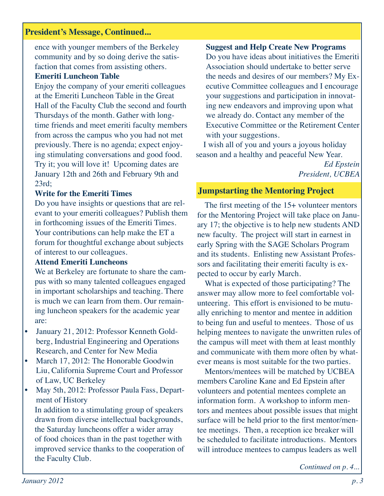#### **President's Message, Continued...**

ence with younger members of the Berkeley community and by so doing derive the satisfaction that comes from assisting others.

### **Emeriti Luncheon Table**

Enjoy the company of your emeriti colleagues at the Emeriti Luncheon Table in the Great Hall of the Faculty Club the second and fourth Thursdays of the month. Gather with longtime friends and meet emeriti faculty members from across the campus who you had not met previously. There is no agenda; expect enjoying stimulating conversations and good food. Try it; you will love it! Upcoming dates are January 12th and 26th and February 9th and 23rd;

### **Write for the Emeriti Times**

Do you have insights or questions that are relevant to your emeriti colleagues? Publish them in forthcoming issues of the Emeriti Times. Your contributions can help make the ET a forum for thoughtful exchange about subjects of interest to our colleagues.

### **Attend Emeriti Luncheons**

We at Berkeley are fortunate to share the campus with so many talented colleagues engaged in important scholarships and teaching. There is much we can learn from them. Our remaining luncheon speakers for the academic year are:

- January 21, 2012: Professor Kenneth Goldberg, Industrial Engineering and Operations Research, and Center for New Media
- March 17, 2012: The Honorable Goodwin Liu, California Supreme Court and Professor of Law, UC Berkeley
- May 5th, 2012: Professor Paula Fass, Department of History

In addition to a stimulating group of speakers drawn from diverse intellectual backgrounds, the Saturday luncheons offer a wider array of food choices than in the past together with improved service thanks to the cooperation of the Faculty Club.

**Suggest and Help Create New Programs** Do you have ideas about initiatives the Emeriti Association should undertake to better serve the needs and desires of our members? My Executive Committee colleagues and I encourage your suggestions and participation in innovating new endeavors and improving upon what we already do. Contact any member of the Executive Committee or the Retirement Center with your suggestions.

I wish all of you and yours a joyous holiday season and a healthy and peaceful New Year.

> *Ed Epstein President, UCBEA*

## **Jumpstarting the Mentoring Project**

The first meeting of the 15+ volunteer mentors for the Mentoring Project will take place on January 17; the objective is to help new students AND new faculty. The project will start in earnest in early Spring with the SAGE Scholars Program and its students. Enlisting new Assistant Professors and facilitating their emeriti faculty is expected to occur by early March.

What is expected of those participating? The answer may allow more to feel comfortable volunteering. This effort is envisioned to be mutually enriching to mentor and mentee in addition to being fun and useful to mentees. Those of us helping mentees to navigate the unwritten rules of the campus will meet with them at least monthly and communicate with them more often by whatever means is most suitable for the two parties.

Mentors/mentees will be matched by UCBEA members Caroline Kane and Ed Epstein after volunteers and potential mentees complete an information form. A workshop to inform mentors and mentees about possible issues that might surface will be held prior to the first mentor/mentee meetings. Then, a reception ice breaker will be scheduled to facilitate introductions. Mentors will introduce mentees to campus leaders as well

*Continued on p. 4...*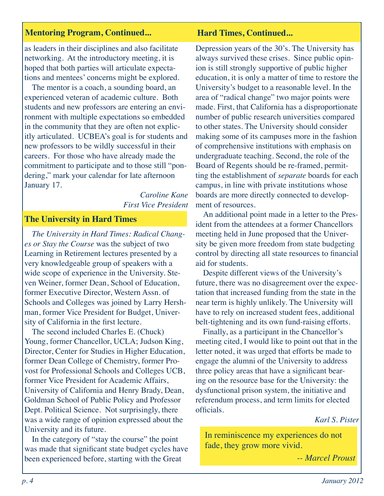#### **Mentoring Program, Continued... Hard Times, Continued...**

as leaders in their disciplines and also facilitate networking. At the introductory meeting, it is hoped that both parties will articulate expectations and mentees' concerns might be explored.

The mentor is a coach, a sounding board, an experienced veteran of academic culture. Both students and new professors are entering an environment with multiple expectations so embedded in the community that they are often not explicitly articulated. UCBEA's goal is for students and new professors to be wildly successful in their careers. For those who have already made the commitment to participate and to those still "pondering," mark your calendar for late afternoon January 17.

> *Caroline Kane First Vice President*

#### **The University in Hard Times**

*The University in Hard Times: Radical Changes or Stay the Course* was the subject of two Learning in Retirement lectures presented by a very knowledgeable group of speakers with a wide scope of experience in the University. Steven Weiner, former Dean, School of Education, former Executive Director, Western Assn. of Schools and Colleges was joined by Larry Hershman, former Vice President for Budget, University of California in the first lecture.

The second included Charles E. (Chuck) Young, former Chancellor, UCLA; Judson King, Director, Center for Studies in Higher Education, former Dean College of Chemistry, former Provost for Professional Schools and Colleges UCB, former Vice President for Academic Affairs, University of California and Henry Brady, Dean, Goldman School of Public Policy and Professor Dept. Political Science. Not surprisingly, there was a wide range of opinion expressed about the University and its future.

In the category of "stay the course" the point was made that significant state budget cycles have been experienced before, starting with the Great

Depression years of the 30's. The University has always survived these crises. Since public opinion is still strongly supportive of public higher education, it is only a matter of time to restore the University's budget to a reasonable level. In the area of "radical change" two major points were made. First, that California has a disproportionate number of public research universities compared to other states. The University should consider making some of its campuses more in the fashion of comprehensive institutions with emphasis on undergraduate teaching. Second, the role of the Board of Regents should be re-framed, permitting the establishment of *separate* boards for each campus, in line with private institutions whose boards are more directly connected to development of resources.

An additional point made in a letter to the President from the attendees at a former Chancellors meeting held in June proposed that the University be given more freedom from state budgeting control by directing all state resources to financial aid for students.

Despite different views of the University's future, there was no disagreement over the expectation that increased funding from the state in the near term is highly unlikely. The University will have to rely on increased student fees, additional belt-tightening and its own fund-raising efforts.

Finally, as a participant in the Chancellor's meeting cited, I would like to point out that in the letter noted, it was urged that efforts be made to engage the alumni of the University to address three policy areas that have a significant bearing on the resource base for the University: the dysfunctional prison system, the initiative and referendum process, and term limits for elected officials.

#### *Karl S. Pister*

In reminiscence my experiences do not fade, they grow more vivid.

*-- Marcel Proust*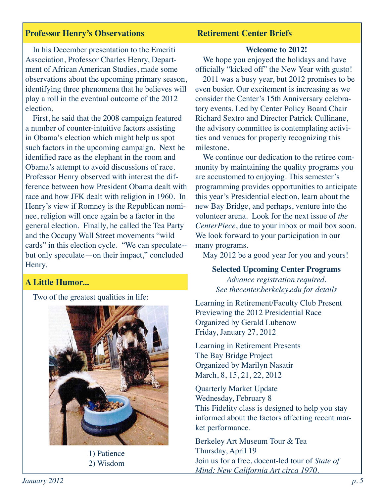#### **Professor Henry's Observations**

#### **Retirement Center Briefs**

In his December presentation to the Emeriti Association, Professor Charles Henry, Department of African American Studies, made some observations about the upcoming primary season, identifying three phenomena that he believes will play a roll in the eventual outcome of the 2012 election.

First, he said that the 2008 campaign featured a number of counter-intuitive factors assisting in Obama's election which might help us spot such factors in the upcoming campaign. Next he identified race as the elephant in the room and Obama's attempt to avoid discussions of race. Professor Henry observed with interest the difference between how President Obama dealt with race and how JFK dealt with religion in 1960. In Henry's view if Romney is the Republican nominee, religion will once again be a factor in the general election. Finally, he called the Tea Party and the Occupy Wall Street movements "wild cards" in this election cycle. "We can speculate- but only speculate—on their impact," concluded Henry.

#### **A Little Humor...**

Two of the greatest qualities in life:



1) Patience 2) Wisdom

#### **Welcome to 2012!**

We hope you enjoyed the holidays and have officially "kicked off" the New Year with gusto! 2011 was a busy year, but 2012 promises to be

even busier. Our excitement is increasing as we consider the Center's 15th Anniversary celebratory events. Led by Center Policy Board Chair Richard Sextro and Director Patrick Cullinane, the advisory committee is contemplating activities and venues for properly recognizing this milestone.

We continue our dedication to the retiree community by maintaining the quality programs you are accustomed to enjoying. This semester's programming provides opportunities to anticipate this year's Presidential election, learn about the new Bay Bridge, and perhaps, venture into the volunteer arena. Look for the next issue of *the CenterPiece*, due to your inbox or mail box soon. We look forward to your participation in our many programs.

May 2012 be a good year for you and yours!

#### **Selected Upcoming Center Programs**

*Advance registration required. See thecenter.berkeley.edu for details*

Learning in Retirement/Faculty Club Present Previewing the 2012 Presidential Race Organized by Gerald Lubenow Friday, January 27, 2012

Learning in Retirement Presents The Bay Bridge Project Organized by Marilyn Nasatir March, 8, 15, 21, 22, 2012

Quarterly Market Update Wednesday, February 8 This Fidelity class is designed to help you stay informed about the factors affecting recent market performance.

Berkeley Art Museum Tour & Tea Thursday, April 19 Join us for a free, docent-led tour of *State of Mind: New California Art circa 1970*.